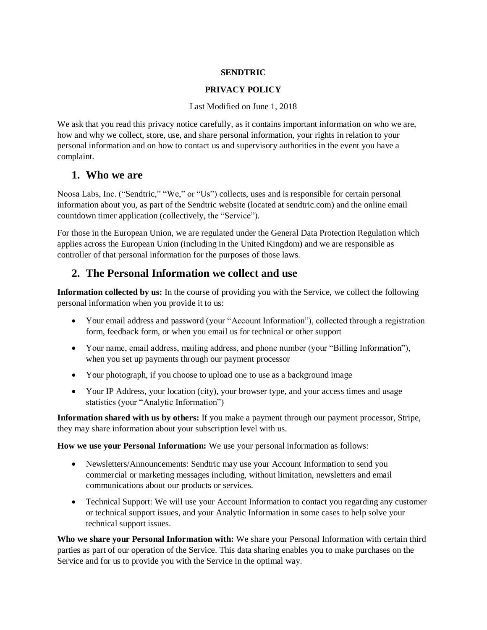#### **SENDTRIC**

#### **PRIVACY POLICY**

#### Last Modified on June 1, 2018

We ask that you read this privacy notice carefully, as it contains important information on who we are, how and why we collect, store, use, and share personal information, your rights in relation to your personal information and on how to contact us and supervisory authorities in the event you have a complaint.

#### **1. Who we are**

Noosa Labs, Inc. ("Sendtric," "We," or "Us") collects, uses and is responsible for certain personal information about you, as part of the Sendtric website (located at sendtric.com) and the online email countdown timer application (collectively, the "Service").

For those in the European Union, we are regulated under the General Data Protection Regulation which applies across the European Union (including in the United Kingdom) and we are responsible as controller of that personal information for the purposes of those laws.

#### **2. The Personal Information we collect and use**

**Information collected by us:** In the course of providing you with the Service, we collect the following personal information when you provide it to us:

- Your email address and password (your "Account Information"), collected through a registration form, feedback form, or when you email us for technical or other support
- Your name, email address, mailing address, and phone number (your "Billing Information"), when you set up payments through our payment processor
- Your photograph, if you choose to upload one to use as a background image
- Your IP Address, your location (city), your browser type, and your access times and usage statistics (your "Analytic Information")

**Information shared with us by others:** If you make a payment through our payment processor, Stripe, they may share information about your subscription level with us.

**How we use your Personal Information:** We use your personal information as follows:

- Newsletters/Announcements: Sendtric may use your Account Information to send you commercial or marketing messages including, without limitation, newsletters and email communications about our products or services.
- Technical Support: We will use your Account Information to contact you regarding any customer or technical support issues, and your Analytic Information in some cases to help solve your technical support issues.

**Who we share your Personal Information with:** We share your Personal Information with certain third parties as part of our operation of the Service. This data sharing enables you to make purchases on the Service and for us to provide you with the Service in the optimal way.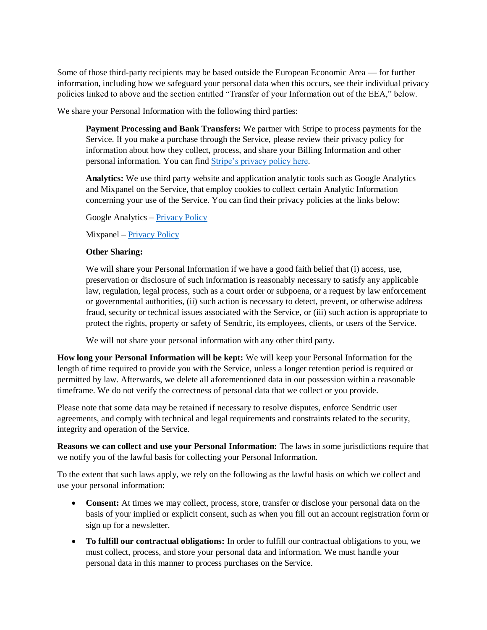Some of those third-party recipients may be based outside the European Economic Area — for further information, including how we safeguard your personal data when this occurs, see their individual privacy policies linked to above and the section entitled "Transfer of your Information out of the EEA," below.

We share your Personal Information with the following third parties:

**Payment Processing and Bank Transfers:** We partner with Stripe to process payments for the Service. If you make a purchase through the Service, please review their privacy policy for information about how they collect, process, and share your Billing Information and other personal information. You can fin[d Stripe's privacy policy here.](https://stripe.com/us/privacy/)

**Analytics:** We use third party website and application analytic tools such as Google Analytics and Mixpanel on the Service, that employ cookies to collect certain Analytic Information concerning your use of the Service. You can find their privacy policies at the links below:

Google Analytics – [Privacy Policy](https://policies.google.com/privacy?hl=en&gl=us)

Mixpanel – [Privacy Policy](https://mixpanel.com/legal/privacy-policy/)

#### **Other Sharing:**

We will share your Personal Information if we have a good faith belief that (i) access, use, preservation or disclosure of such information is reasonably necessary to satisfy any applicable law, regulation, legal process, such as a court order or subpoena, or a request by law enforcement or governmental authorities, (ii) such action is necessary to detect, prevent, or otherwise address fraud, security or technical issues associated with the Service, or (iii) such action is appropriate to protect the rights, property or safety of Sendtric, its employees, clients, or users of the Service.

We will not share your personal information with any other third party.

**How long your Personal Information will be kept:** We will keep your Personal Information for the length of time required to provide you with the Service, unless a longer retention period is required or permitted by law. Afterwards, we delete all aforementioned data in our possession within a reasonable timeframe. We do not verify the correctness of personal data that we collect or you provide.

Please note that some data may be retained if necessary to resolve disputes, enforce Sendtric user agreements, and comply with technical and legal requirements and constraints related to the security, integrity and operation of the Service.

**Reasons we can collect and use your Personal Information:** The laws in some jurisdictions require that we notify you of the lawful basis for collecting your Personal Information.

To the extent that such laws apply, we rely on the following as the lawful basis on which we collect and use your personal information:

- **Consent:** At times we may collect, process, store, transfer or disclose your personal data on the basis of your implied or explicit consent, such as when you fill out an account registration form or sign up for a newsletter.
- **To fulfill our contractual obligations:** In order to fulfill our contractual obligations to you, we must collect, process, and store your personal data and information. We must handle your personal data in this manner to process purchases on the Service.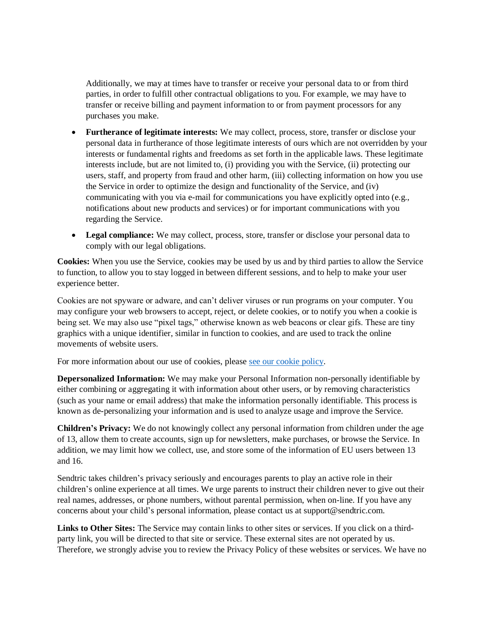Additionally, we may at times have to transfer or receive your personal data to or from third parties, in order to fulfill other contractual obligations to you. For example, we may have to transfer or receive billing and payment information to or from payment processors for any purchases you make.

- **Furtherance of legitimate interests:** We may collect, process, store, transfer or disclose your personal data in furtherance of those legitimate interests of ours which are not overridden by your interests or fundamental rights and freedoms as set forth in the applicable laws. These legitimate interests include, but are not limited to, (i) providing you with the Service, (ii) protecting our users, staff, and property from fraud and other harm, (iii) collecting information on how you use the Service in order to optimize the design and functionality of the Service, and (iv) communicating with you via e-mail for communications you have explicitly opted into (e.g., notifications about new products and services) or for important communications with you regarding the Service.
- **Legal compliance:** We may collect, process, store, transfer or disclose your personal data to comply with our legal obligations.

**Cookies:** When you use the Service, cookies may be used by us and by third parties to allow the Service to function, to allow you to stay logged in between different sessions, and to help to make your user experience better.

Cookies are not spyware or adware, and can't deliver viruses or run programs on your computer. You may configure your web browsers to accept, reject, or delete cookies, or to notify you when a cookie is being set. We may also use "pixel tags," otherwise known as web beacons or clear gifs. These are tiny graphics with a unique identifier, similar in function to cookies, and are used to track the online movements of website users.

For more information about our use of cookies, please [see our cookie policy.](https://www.sendtric.com/legal/cookies.pdf)

**Depersonalized Information:** We may make your Personal Information non-personally identifiable by either combining or aggregating it with information about other users, or by removing characteristics (such as your name or email address) that make the information personally identifiable. This process is known as de-personalizing your information and is used to analyze usage and improve the Service.

**Children's Privacy:** We do not knowingly collect any personal information from children under the age of 13, allow them to create accounts, sign up for newsletters, make purchases, or browse the Service. In addition, we may limit how we collect, use, and store some of the information of EU users between 13 and 16.

Sendtric takes children's privacy seriously and encourages parents to play an active role in their children's online experience at all times. We urge parents to instruct their children never to give out their real names, addresses, or phone numbers, without parental permission, when on-line. If you have any concerns about your child's personal information, please contact us at support@sendtric.com.

**Links to Other Sites:** The Service may contain links to other sites or services. If you click on a thirdparty link, you will be directed to that site or service. These external sites are not operated by us. Therefore, we strongly advise you to review the Privacy Policy of these websites or services. We have no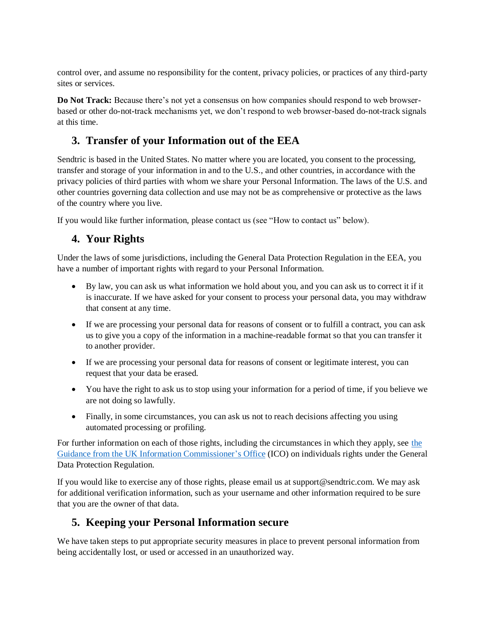control over, and assume no responsibility for the content, privacy policies, or practices of any third-party sites or services.

**Do Not Track:** Because there's not yet a consensus on how companies should respond to web browserbased or other do-not-track mechanisms yet, we don't respond to web browser-based do-not-track signals at this time.

# **3. Transfer of your Information out of the EEA**

Sendtric is based in the United States. No matter where you are located, you consent to the processing, transfer and storage of your information in and to the U.S., and other countries, in accordance with the privacy policies of third parties with whom we share your Personal Information. The laws of the U.S. and other countries governing data collection and use may not be as comprehensive or protective as the laws of the country where you live.

If you would like further information, please contact us (see "How to contact us" below).

# **4. Your Rights**

Under the laws of some jurisdictions, including the General Data Protection Regulation in the EEA, you have a number of important rights with regard to your Personal Information.

- By law, you can ask us what information we hold about you, and you can ask us to correct it if it is inaccurate. If we have asked for your consent to process your personal data, you may withdraw that consent at any time.
- If we are processing your personal data for reasons of consent or to fulfill a contract, you can ask us to give you a copy of the information in a machine-readable format so that you can transfer it to another provider.
- If we are processing your personal data for reasons of consent or legitimate interest, you can request that your data be erased.
- You have the right to ask us to stop using your information for a period of time, if you believe we are not doing so lawfully.
- Finally, in some circumstances, you can ask us not to reach decisions affecting you using automated processing or profiling.

For further information on each of those rights, including the circumstances in which they apply, see [the](https://ico.org.uk/for-organisations/guide-to-the-general-data-protection-regulation-gdpr/individual-rights/)  [Guidance from the UK Information Commissioner's Office](https://ico.org.uk/for-organisations/guide-to-the-general-data-protection-regulation-gdpr/individual-rights/) (ICO) on individuals rights under the General Data Protection Regulation.

If you would like to exercise any of those rights, please email us at support@sendtric.com. We may ask for additional verification information, such as your username and other information required to be sure that you are the owner of that data.

### **5. Keeping your Personal Information secure**

We have taken steps to put appropriate security measures in place to prevent personal information from being accidentally lost, or used or accessed in an unauthorized way.